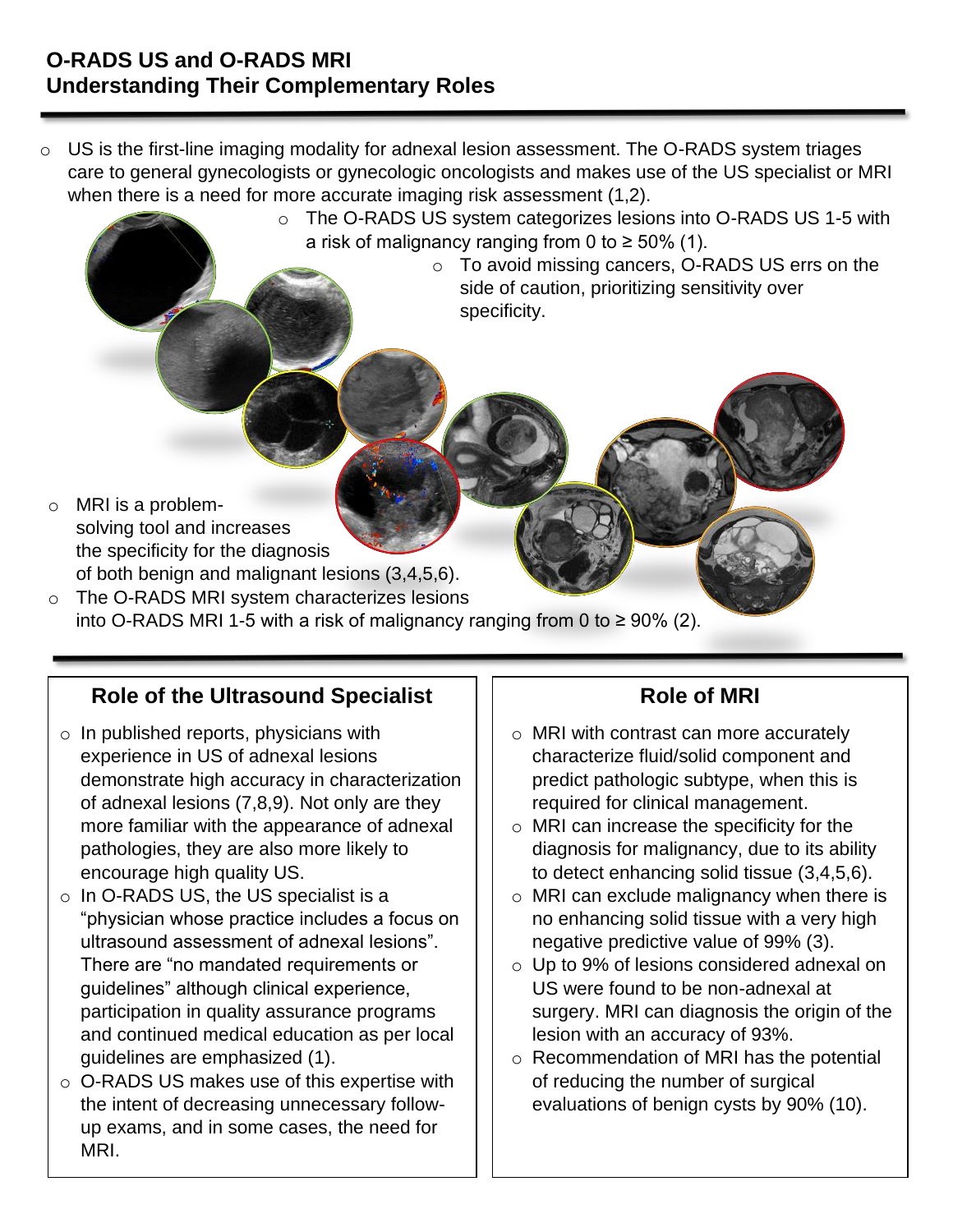- o US is the first-line imaging modality for adnexal lesion assessment. The O-RADS system triages care to general gynecologists or gynecologic oncologists and makes use of the US specialist or MRI when there is a need for more accurate imaging risk assessment (1,2).
	- o The O-RADS US system categorizes lesions into O-RADS US 1-5 with a risk of malignancy ranging from 0 to  $\geq 50\%$  (1).
		- o To avoid missing cancers, O-RADS US errs on the side of caution, prioritizing sensitivity over specificity.

- o MRI is a problemsolving tool and increases the specificity for the diagnosis of both benign and malignant lesions (3,4,5,6).
- o The O-RADS MRI system characterizes lesions into O-RADS MRI 1-5 with a risk of malignancy ranging from 0 to ≥ 90% (2).

## **Role of the Ultrasound Specialist**

- $\circ$  In published reports, physicians with experience in US of adnexal lesions demonstrate high accuracy in characterization of adnexal lesions (7,8,9). Not only are they more familiar with the appearance of adnexal pathologies, they are also more likely to encourage high quality US.
- o In O-RADS US, the US specialist is a "physician whose practice includes a focus on ultrasound assessment of adnexal lesions". There are "no mandated requirements or guidelines" although clinical experience, participation in quality assurance programs and continued medical education as per local guidelines are emphasized (1).
- o O-RADS US makes use of this expertise with the intent of decreasing unnecessary followup exams, and in some cases, the need for MRI.

# **Role of MRI**

- o MRI with contrast can more accurately characterize fluid/solid component and predict pathologic subtype, when this is required for clinical management.
- o MRI can increase the specificity for the diagnosis for malignancy, due to its ability to detect enhancing solid tissue (3,4,5,6).
- o MRI can exclude malignancy when there is no enhancing solid tissue with a very high negative predictive value of 99% (3).
- o Up to 9% of lesions considered adnexal on US were found to be non-adnexal at surgery. MRI can diagnosis the origin of the lesion with an accuracy of 93%.
- o Recommendation of MRI has the potential of reducing the number of surgical evaluations of benign cysts by 90% (10).